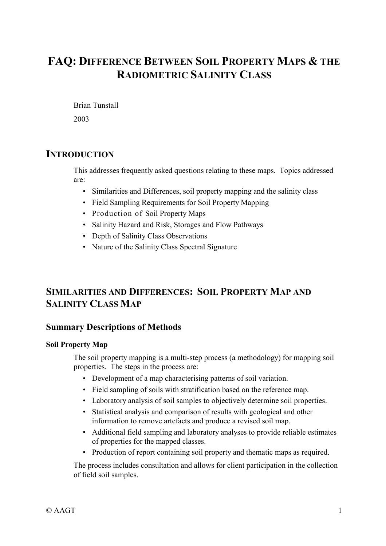# **FAQ: DIFFERENCE BETWEEN SOIL PROPERTY MAPS & THE RADIOMETRIC SALINITY CLASS**

Brian Tunstall

2003

## **INTRODUCTION**

This addresses frequently asked questions relating to these maps. Topics addressed are:

- Similarities and Differences, soil property mapping and the salinity class
- Field Sampling Requirements for Soil Property Mapping
- Production of Soil Property Maps
- Salinity Hazard and Risk, Storages and Flow Pathways
- Depth of Salinity Class Observations
- Nature of the Salinity Class Spectral Signature

## **SIMILARITIES AND DIFFERENCES: SOIL PROPERTY MAP AND SALINITY CLASS MAP**

## **Summary Descriptions of Methods**

#### **Soil Property Map**

The soil property mapping is a multi-step process (a methodology) for mapping soil properties. The steps in the process are:

- Development of a map characterising patterns of soil variation.
- Field sampling of soils with stratification based on the reference map.
- Laboratory analysis of soil samples to objectively determine soil properties.
- Statistical analysis and comparison of results with geological and other information to remove artefacts and produce a revised soil map.
- Additional field sampling and laboratory analyses to provide reliable estimates of properties for the mapped classes.
- Production of report containing soil property and thematic maps as required.

The process includes consultation and allows for client participation in the collection of field soil samples.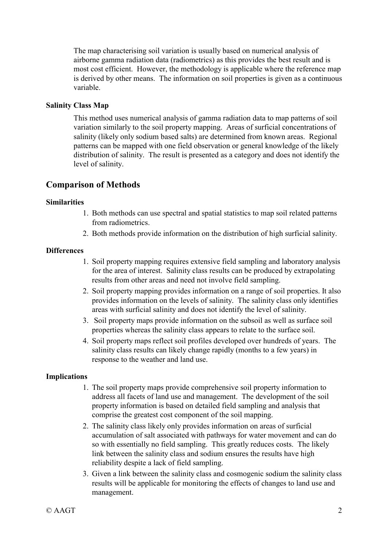The map characterising soil variation is usually based on numerical analysis of airborne gamma radiation data (radiometrics) as this provides the best result and is most cost efficient. However, the methodology is applicable where the reference map is derived by other means. The information on soil properties is given as a continuous variable.

#### **Salinity Class Map**

This method uses numerical analysis of gamma radiation data to map patterns of soil variation similarly to the soil property mapping. Areas of surficial concentrations of salinity (likely only sodium based salts) are determined from known areas. Regional patterns can be mapped with one field observation or general knowledge of the likely distribution of salinity. The result is presented as a category and does not identify the level of salinity.

### **Comparison of Methods**

#### **Similarities**

- 1. Both methods can use spectral and spatial statistics to map soil related patterns from radiometrics.
- 2. Both methods provide information on the distribution of high surficial salinity.

#### **Differences**

- 1. Soil property mapping requires extensive field sampling and laboratory analysis for the area of interest. Salinity class results can be produced by extrapolating results from other areas and need not involve field sampling.
- 2. Soil property mapping provides information on a range of soil properties. It also provides information on the levels of salinity. The salinity class only identifies areas with surficial salinity and does not identify the level of salinity.
- 3. Soil property maps provide information on the subsoil as well as surface soil properties whereas the salinity class appears to relate to the surface soil.
- 4. Soil property maps reflect soil profiles developed over hundreds of years. The salinity class results can likely change rapidly (months to a few years) in response to the weather and land use.

#### **Implications**

- 1. The soil property maps provide comprehensive soil property information to address all facets of land use and management. The development of the soil property information is based on detailed field sampling and analysis that comprise the greatest cost component of the soil mapping.
- 2. The salinity class likely only provides information on areas of surficial accumulation of salt associated with pathways for water movement and can do so with essentially no field sampling. This greatly reduces costs. The likely link between the salinity class and sodium ensures the results have high reliability despite a lack of field sampling.
- 3. Given a link between the salinity class and cosmogenic sodium the salinity class results will be applicable for monitoring the effects of changes to land use and management.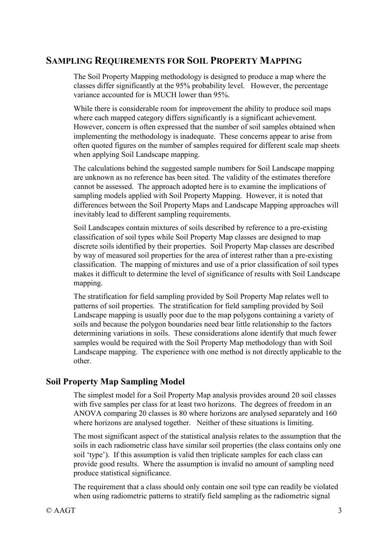## **SAMPLING REQUIREMENTS FOR SOIL PROPERTY MAPPING**

The Soil Property Mapping methodology is designed to produce a map where the classes differ significantly at the 95% probability level. However, the percentage variance accounted for is MUCH lower than 95%.

While there is considerable room for improvement the ability to produce soil maps where each mapped category differs significantly is a significant achievement. However, concern is often expressed that the number of soil samples obtained when implementing the methodology is inadequate. These concerns appear to arise from often quoted figures on the number of samples required for different scale map sheets when applying Soil Landscape mapping.

The calculations behind the suggested sample numbers for Soil Landscape mapping are unknown as no reference has been sited. The validity of the estimates therefore cannot be assessed. The approach adopted here is to examine the implications of sampling models applied with Soil Property Mapping. However, it is noted that differences between the Soil Property Maps and Landscape Mapping approaches will inevitably lead to different sampling requirements.

Soil Landscapes contain mixtures of soils described by reference to a pre-existing classification of soil types while Soil Property Map classes are designed to map discrete soils identified by their properties. Soil Property Map classes are described by way of measured soil properties for the area of interest rather than a pre-existing classification. The mapping of mixtures and use of a prior classification of soil types makes it difficult to determine the level of significance of results with Soil Landscape mapping.

The stratification for field sampling provided by Soil Property Map relates well to patterns of soil properties. The stratification for field sampling provided by Soil Landscape mapping is usually poor due to the map polygons containing a variety of soils and because the polygon boundaries need bear little relationship to the factors determining variations in soils. These considerations alone identify that much fewer samples would be required with the Soil Property Map methodology than with Soil Landscape mapping. The experience with one method is not directly applicable to the other.

## **Soil Property Map Sampling Model**

The simplest model for a Soil Property Map analysis provides around 20 soil classes with five samples per class for at least two horizons. The degrees of freedom in an ANOVA comparing 20 classes is 80 where horizons are analysed separately and 160 where horizons are analysed together. Neither of these situations is limiting.

The most significant aspect of the statistical analysis relates to the assumption that the soils in each radiometric class have similar soil properties (the class contains only one soil 'type'). If this assumption is valid then triplicate samples for each class can provide good results. Where the assumption is invalid no amount of sampling need produce statistical significance.

The requirement that a class should only contain one soil type can readily be violated when using radiometric patterns to stratify field sampling as the radiometric signal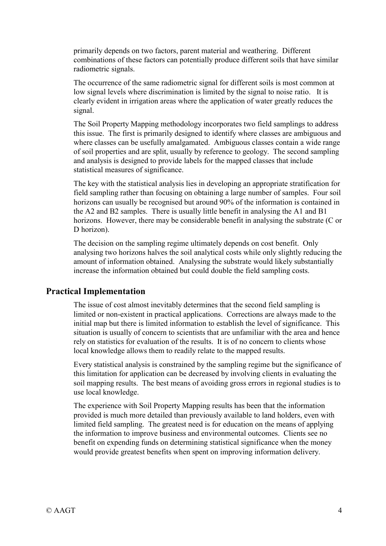primarily depends on two factors, parent material and weathering. Different combinations of these factors can potentially produce different soils that have similar radiometric signals.

The occurrence of the same radiometric signal for different soils is most common at low signal levels where discrimination is limited by the signal to noise ratio. It is clearly evident in irrigation areas where the application of water greatly reduces the signal.

The Soil Property Mapping methodology incorporates two field samplings to address this issue. The first is primarily designed to identify where classes are ambiguous and where classes can be usefully amalgamated. Ambiguous classes contain a wide range of soil properties and are split, usually by reference to geology. The second sampling and analysis is designed to provide labels for the mapped classes that include statistical measures of significance.

The key with the statistical analysis lies in developing an appropriate stratification for field sampling rather than focusing on obtaining a large number of samples. Four soil horizons can usually be recognised but around 90% of the information is contained in the A2 and B2 samples. There is usually little benefit in analysing the A1 and B1 horizons. However, there may be considerable benefit in analysing the substrate (C or D horizon).

The decision on the sampling regime ultimately depends on cost benefit. Only analysing two horizons halves the soil analytical costs while only slightly reducing the amount of information obtained. Analysing the substrate would likely substantially increase the information obtained but could double the field sampling costs.

## **Practical Implementation**

The issue of cost almost inevitably determines that the second field sampling is limited or non-existent in practical applications. Corrections are always made to the initial map but there is limited information to establish the level of significance. This situation is usually of concern to scientists that are unfamiliar with the area and hence rely on statistics for evaluation of the results. It is of no concern to clients whose local knowledge allows them to readily relate to the mapped results.

Every statistical analysis is constrained by the sampling regime but the significance of this limitation for application can be decreased by involving clients in evaluating the soil mapping results. The best means of avoiding gross errors in regional studies is to use local knowledge.

The experience with Soil Property Mapping results has been that the information provided is much more detailed than previously available to land holders, even with limited field sampling. The greatest need is for education on the means of applying the information to improve business and environmental outcomes. Clients see no benefit on expending funds on determining statistical significance when the money would provide greatest benefits when spent on improving information delivery.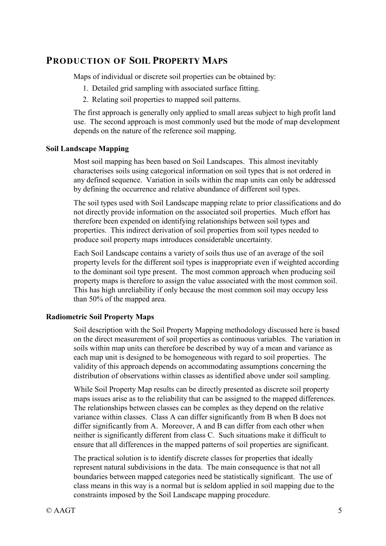## **PRODUCTION OF SOIL PROPERTY MAPS**

Maps of individual or discrete soil properties can be obtained by:

- 1. Detailed grid sampling with associated surface fitting.
- 2. Relating soil properties to mapped soil patterns.

The first approach is generally only applied to small areas subject to high profit land use. The second approach is most commonly used but the mode of map development depends on the nature of the reference soil mapping.

#### **Soil Landscape Mapping**

Most soil mapping has been based on Soil Landscapes. This almost inevitably characterises soils using categorical information on soil types that is not ordered in any defined sequence. Variation in soils within the map units can only be addressed by defining the occurrence and relative abundance of different soil types.

The soil types used with Soil Landscape mapping relate to prior classifications and do not directly provide information on the associated soil properties. Much effort has therefore been expended on identifying relationships between soil types and properties. This indirect derivation of soil properties from soil types needed to produce soil property maps introduces considerable uncertainty.

Each Soil Landscape contains a variety of soils thus use of an average of the soil property levels for the different soil types is inappropriate even if weighted according to the dominant soil type present. The most common approach when producing soil property maps is therefore to assign the value associated with the most common soil. This has high unreliability if only because the most common soil may occupy less than 50% of the mapped area.

#### **Radiometric Soil Property Maps**

Soil description with the Soil Property Mapping methodology discussed here is based on the direct measurement of soil properties as continuous variables. The variation in soils within map units can therefore be described by way of a mean and variance as each map unit is designed to be homogeneous with regard to soil properties. The validity of this approach depends on accommodating assumptions concerning the distribution of observations within classes as identified above under soil sampling.

While Soil Property Map results can be directly presented as discrete soil property maps issues arise as to the reliability that can be assigned to the mapped differences. The relationships between classes can be complex as they depend on the relative variance within classes. Class A can differ significantly from B when B does not differ significantly from A. Moreover, A and B can differ from each other when neither is significantly different from class C. Such situations make it difficult to ensure that all differences in the mapped patterns of soil properties are significant.

The practical solution is to identify discrete classes for properties that ideally represent natural subdivisions in the data. The main consequence is that not all boundaries between mapped categories need be statistically significant. The use of class means in this way is a normal but is seldom applied in soil mapping due to the constraints imposed by the Soil Landscape mapping procedure.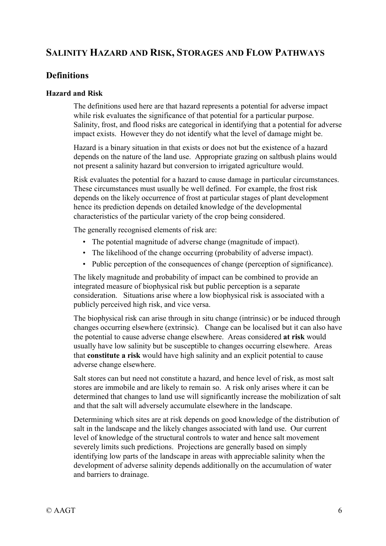## **SALINITY HAZARD AND RISK, STORAGES AND FLOW PATHWAYS**

### **Definitions**

#### **Hazard and Risk**

The definitions used here are that hazard represents a potential for adverse impact while risk evaluates the significance of that potential for a particular purpose. Salinity, frost, and flood risks are categorical in identifying that a potential for adverse impact exists. However they do not identify what the level of damage might be.

Hazard is a binary situation in that exists or does not but the existence of a hazard depends on the nature of the land use. Appropriate grazing on saltbush plains would not present a salinity hazard but conversion to irrigated agriculture would.

Risk evaluates the potential for a hazard to cause damage in particular circumstances. These circumstances must usually be well defined. For example, the frost risk depends on the likely occurrence of frost at particular stages of plant development hence its prediction depends on detailed knowledge of the developmental characteristics of the particular variety of the crop being considered.

The generally recognised elements of risk are:

- The potential magnitude of adverse change (magnitude of impact).
- The likelihood of the change occurring (probability of adverse impact).
- Public perception of the consequences of change (perception of significance).

The likely magnitude and probability of impact can be combined to provide an integrated measure of biophysical risk but public perception is a separate consideration. Situations arise where a low biophysical risk is associated with a publicly perceived high risk, and vice versa.

The biophysical risk can arise through in situ change (intrinsic) or be induced through changes occurring elsewhere (extrinsic). Change can be localised but it can also have the potential to cause adverse change elsewhere. Areas considered **at risk** would usually have low salinity but be susceptible to changes occurring elsewhere. Areas that **constitute a risk** would have high salinity and an explicit potential to cause adverse change elsewhere.

Salt stores can but need not constitute a hazard, and hence level of risk, as most salt stores are immobile and are likely to remain so. A risk only arises where it can be determined that changes to land use will significantly increase the mobilization of salt and that the salt will adversely accumulate elsewhere in the landscape.

Determining which sites are at risk depends on good knowledge of the distribution of salt in the landscape and the likely changes associated with land use. Our current level of knowledge of the structural controls to water and hence salt movement severely limits such predictions. Projections are generally based on simply identifying low parts of the landscape in areas with appreciable salinity when the development of adverse salinity depends additionally on the accumulation of water and barriers to drainage.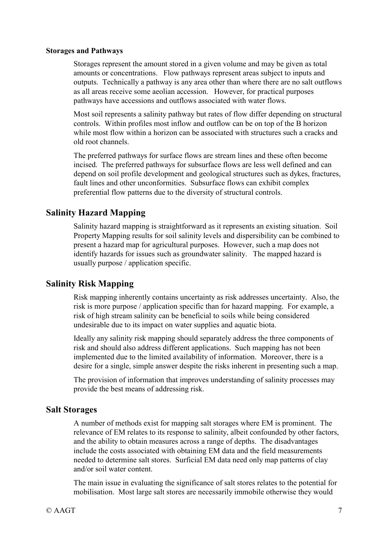#### **Storages and Pathways**

Storages represent the amount stored in a given volume and may be given as total amounts or concentrations. Flow pathways represent areas subject to inputs and outputs. Technically a pathway is any area other than where there are no salt outflows as all areas receive some aeolian accession. However, for practical purposes pathways have accessions and outflows associated with water flows.

Most soil represents a salinity pathway but rates of flow differ depending on structural controls. Within profiles most inflow and outflow can be on top of the B horizon while most flow within a horizon can be associated with structures such a cracks and old root channels.

The preferred pathways for surface flows are stream lines and these often become incised. The preferred pathways for subsurface flows are less well defined and can depend on soil profile development and geological structures such as dykes, fractures, fault lines and other unconformities. Subsurface flows can exhibit complex preferential flow patterns due to the diversity of structural controls.

## **Salinity Hazard Mapping**

Salinity hazard mapping is straightforward as it represents an existing situation. Soil Property Mapping results for soil salinity levels and dispersibility can be combined to present a hazard map for agricultural purposes. However, such a map does not identify hazards for issues such as groundwater salinity. The mapped hazard is usually purpose / application specific.

## **Salinity Risk Mapping**

Risk mapping inherently contains uncertainty as risk addresses uncertainty. Also, the risk is more purpose / application specific than for hazard mapping. For example, a risk of high stream salinity can be beneficial to soils while being considered undesirable due to its impact on water supplies and aquatic biota.

Ideally any salinity risk mapping should separately address the three components of risk and should also address different applications. Such mapping has not been implemented due to the limited availability of information. Moreover, there is a desire for a single, simple answer despite the risks inherent in presenting such a map.

The provision of information that improves understanding of salinity processes may provide the best means of addressing risk.

## **Salt Storages**

A number of methods exist for mapping salt storages where EM is prominent. The relevance of EM relates to its response to salinity, albeit confounded by other factors, and the ability to obtain measures across a range of depths. The disadvantages include the costs associated with obtaining EM data and the field measurements needed to determine salt stores. Surficial EM data need only map patterns of clay and/or soil water content.

The main issue in evaluating the significance of salt stores relates to the potential for mobilisation. Most large salt stores are necessarily immobile otherwise they would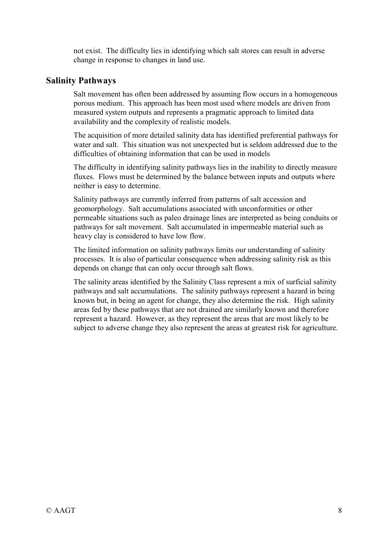not exist. The difficulty lies in identifying which salt stores can result in adverse change in response to changes in land use.

#### **Salinity Pathways**

Salt movement has often been addressed by assuming flow occurs in a homogeneous porous medium. This approach has been most used where models are driven from measured system outputs and represents a pragmatic approach to limited data availability and the complexity of realistic models.

The acquisition of more detailed salinity data has identified preferential pathways for water and salt. This situation was not unexpected but is seldom addressed due to the difficulties of obtaining information that can be used in models

The difficulty in identifying salinity pathways lies in the inability to directly measure fluxes. Flows must be determined by the balance between inputs and outputs where neither is easy to determine.

Salinity pathways are currently inferred from patterns of salt accession and geomorphology. Salt accumulations associated with unconformities or other permeable situations such as paleo drainage lines are interpreted as being conduits or pathways for salt movement. Salt accumulated in impermeable material such as heavy clay is considered to have low flow.

The limited information on salinity pathways limits our understanding of salinity processes. It is also of particular consequence when addressing salinity risk as this depends on change that can only occur through salt flows.

The salinity areas identified by the Salinity Class represent a mix of surficial salinity pathways and salt accumulations. The salinity pathways represent a hazard in being known but, in being an agent for change, they also determine the risk. High salinity areas fed by these pathways that are not drained are similarly known and therefore represent a hazard. However, as they represent the areas that are most likely to be subject to adverse change they also represent the areas at greatest risk for agriculture.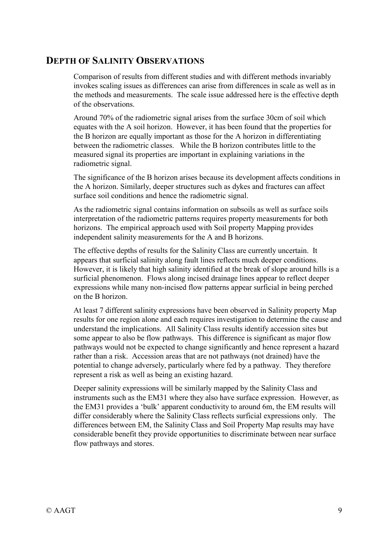## **DEPTH OF SALINITY OBSERVATIONS**

Comparison of results from different studies and with different methods invariably invokes scaling issues as differences can arise from differences in scale as well as in the methods and measurements. The scale issue addressed here is the effective depth of the observations.

Around 70% of the radiometric signal arises from the surface 30cm of soil which equates with the A soil horizon. However, it has been found that the properties for the B horizon are equally important as those for the A horizon in differentiating between the radiometric classes. While the B horizon contributes little to the measured signal its properties are important in explaining variations in the radiometric signal.

The significance of the B horizon arises because its development affects conditions in the A horizon. Similarly, deeper structures such as dykes and fractures can affect surface soil conditions and hence the radiometric signal.

As the radiometric signal contains information on subsoils as well as surface soils interpretation of the radiometric patterns requires property measurements for both horizons. The empirical approach used with Soil property Mapping provides independent salinity measurements for the A and B horizons.

The effective depths of results for the Salinity Class are currently uncertain. It appears that surficial salinity along fault lines reflects much deeper conditions. However, it is likely that high salinity identified at the break of slope around hills is a surficial phenomenon. Flows along incised drainage lines appear to reflect deeper expressions while many non-incised flow patterns appear surficial in being perched on the B horizon.

At least 7 different salinity expressions have been observed in Salinity property Map results for one region alone and each requires investigation to determine the cause and understand the implications. All Salinity Class results identify accession sites but some appear to also be flow pathways. This difference is significant as major flow pathways would not be expected to change significantly and hence represent a hazard rather than a risk. Accession areas that are not pathways (not drained) have the potential to change adversely, particularly where fed by a pathway. They therefore represent a risk as well as being an existing hazard.

Deeper salinity expressions will be similarly mapped by the Salinity Class and instruments such as the EM31 where they also have surface expression. However, as the EM31 provides a 'bulk' apparent conductivity to around 6m, the EM results will differ considerably where the Salinity Class reflects surficial expressions only. The differences between EM, the Salinity Class and Soil Property Map results may have considerable benefit they provide opportunities to discriminate between near surface flow pathways and stores.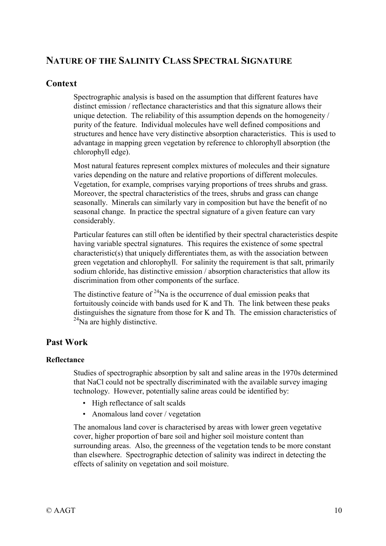## **NATURE OF THE SALINITY CLASS SPECTRAL SIGNATURE**

## **Context**

Spectrographic analysis is based on the assumption that different features have distinct emission / reflectance characteristics and that this signature allows their unique detection. The reliability of this assumption depends on the homogeneity / purity of the feature. Individual molecules have well defined compositions and structures and hence have very distinctive absorption characteristics. This is used to advantage in mapping green vegetation by reference to chlorophyll absorption (the chlorophyll edge).

Most natural features represent complex mixtures of molecules and their signature varies depending on the nature and relative proportions of different molecules. Vegetation, for example, comprises varying proportions of trees shrubs and grass. Moreover, the spectral characteristics of the trees, shrubs and grass can change seasonally. Minerals can similarly vary in composition but have the benefit of no seasonal change. In practice the spectral signature of a given feature can vary considerably.

Particular features can still often be identified by their spectral characteristics despite having variable spectral signatures. This requires the existence of some spectral characteristic(s) that uniquely differentiates them, as with the association between green vegetation and chlorophyll. For salinity the requirement is that salt, primarily sodium chloride, has distinctive emission / absorption characteristics that allow its discrimination from other components of the surface.

The distinctive feature of  $24$ Na is the occurrence of dual emission peaks that fortuitously coincide with bands used for K and Th. The link between these peaks distinguishes the signature from those for K and Th. The emission characteristics of  $^{24}$ Na are highly distinctive.

## **Past Work**

#### **Reflectance**

Studies of spectrographic absorption by salt and saline areas in the 1970s determined that NaCl could not be spectrally discriminated with the available survey imaging technology. However, potentially saline areas could be identified by:

- High reflectance of salt scalds
- Anomalous land cover / vegetation

The anomalous land cover is characterised by areas with lower green vegetative cover, higher proportion of bare soil and higher soil moisture content than surrounding areas. Also, the greenness of the vegetation tends to be more constant than elsewhere. Spectrographic detection of salinity was indirect in detecting the effects of salinity on vegetation and soil moisture.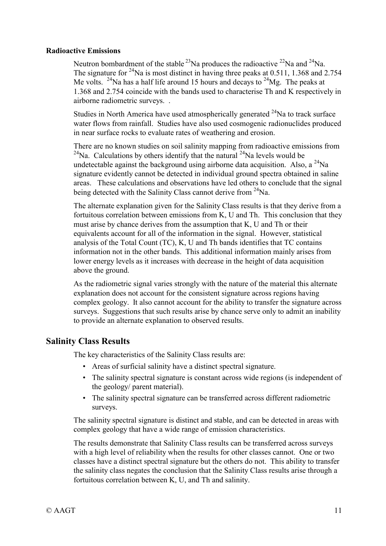#### **Radioactive Emissions**

Neutron bombardment of the stable  $^{23}$ Na produces the radioactive  $^{22}$ Na and  $^{24}$ Na. The signature for <sup>24</sup>Na is most distinct in having three peaks at 0.511, 1.368 and 2.754 Me volts. <sup>24</sup>Na has a half life around 15 hours and decays to <sup>24</sup>Mg. The peaks at 1.368 and 2.754 coincide with the bands used to characterise Th and K respectively in airborne radiometric surveys. .

Studies in North America have used atmospherically generated  $24$ Na to track surface water flows from rainfall. Studies have also used cosmogenic radionuclides produced in near surface rocks to evaluate rates of weathering and erosion.

There are no known studies on soil salinity mapping from radioactive emissions from <sup>24</sup>Na. Calculations by others identify that the natural <sup>24</sup>Na levels would be undetectable against the background using airborne data acquisition. Also, a  $^{24}$ Na signature evidently cannot be detected in individual ground spectra obtained in saline areas. These calculations and observations have led others to conclude that the signal being detected with the Salinity Class cannot derive from <sup>24</sup>Na.

The alternate explanation given for the Salinity Class results is that they derive from a fortuitous correlation between emissions from K, U and Th. This conclusion that they must arise by chance derives from the assumption that K, U and Th or their equivalents account for all of the information in the signal. However, statistical analysis of the Total Count (TC), K, U and Th bands identifies that TC contains information not in the other bands. This additional information mainly arises from lower energy levels as it increases with decrease in the height of data acquisition above the ground.

As the radiometric signal varies strongly with the nature of the material this alternate explanation does not account for the consistent signature across regions having complex geology. It also cannot account for the ability to transfer the signature across surveys. Suggestions that such results arise by chance serve only to admit an inability to provide an alternate explanation to observed results.

#### **Salinity Class Results**

The key characteristics of the Salinity Class results are:

- Areas of surficial salinity have a distinct spectral signature.
- The salinity spectral signature is constant across wide regions (is independent of the geology/ parent material).
- The salinity spectral signature can be transferred across different radiometric surveys.

The salinity spectral signature is distinct and stable, and can be detected in areas with complex geology that have a wide range of emission characteristics.

The results demonstrate that Salinity Class results can be transferred across surveys with a high level of reliability when the results for other classes cannot. One or two classes have a distinct spectral signature but the others do not. This ability to transfer the salinity class negates the conclusion that the Salinity Class results arise through a fortuitous correlation between K, U, and Th and salinity.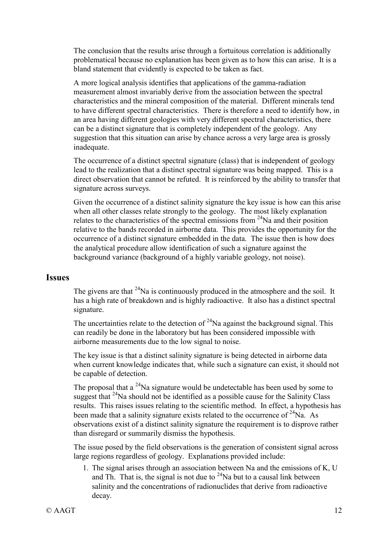The conclusion that the results arise through a fortuitous correlation is additionally problematical because no explanation has been given as to how this can arise. It is a bland statement that evidently is expected to be taken as fact.

A more logical analysis identifies that applications of the gamma-radiation measurement almost invariably derive from the association between the spectral characteristics and the mineral composition of the material. Different minerals tend to have different spectral characteristics. There is therefore a need to identify how, in an area having different geologies with very different spectral characteristics, there can be a distinct signature that is completely independent of the geology. Any suggestion that this situation can arise by chance across a very large area is grossly inadequate.

The occurrence of a distinct spectral signature (class) that is independent of geology lead to the realization that a distinct spectral signature was being mapped. This is a direct observation that cannot be refuted. It is reinforced by the ability to transfer that signature across surveys.

Given the occurrence of a distinct salinity signature the key issue is how can this arise when all other classes relate strongly to the geology. The most likely explanation relates to the characteristics of the spectral emissions from 24Na and their position relative to the bands recorded in airborne data. This provides the opportunity for the occurrence of a distinct signature embedded in the data. The issue then is how does the analytical procedure allow identification of such a signature against the background variance (background of a highly variable geology, not noise).

#### **Issues**

The givens are that  $24$ Na is continuously produced in the atmosphere and the soil. It has a high rate of breakdown and is highly radioactive. It also has a distinct spectral signature.

The uncertainties relate to the detection of  $24$ Na against the background signal. This can readily be done in the laboratory but has been considered impossible with airborne measurements due to the low signal to noise.

The key issue is that a distinct salinity signature is being detected in airborne data when current knowledge indicates that, while such a signature can exist, it should not be capable of detection.

The proposal that a  $^{24}$ Na signature would be undetectable has been used by some to suggest that  $24$ Na should not be identified as a possible cause for the Salinity Class results. This raises issues relating to the scientific method. In effect, a hypothesis has been made that a salinity signature exists related to the occurrence of  $^{24}$ Na. As observations exist of a distinct salinity signature the requirement is to disprove rather than disregard or summarily dismiss the hypothesis.

The issue posed by the field observations is the generation of consistent signal across large regions regardless of geology. Explanations provided include:

1. The signal arises through an association between Na and the emissions of K, U and Th. That is, the signal is not due to  $24$ Na but to a causal link between salinity and the concentrations of radionuclides that derive from radioactive decay.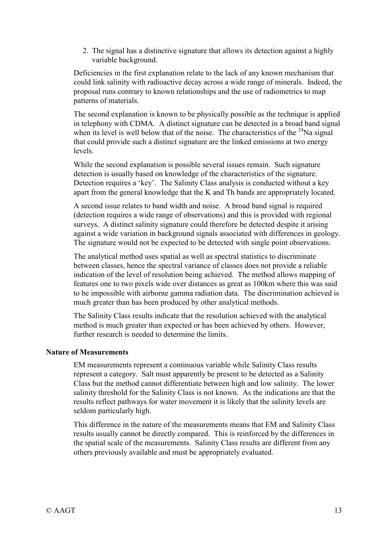2. The signal has a distinctive signature that allows its detection against a highly variable background.

Deficiencies in the first explanation relate to the lack of any known mechanism that could link salinity with radioactive decay across a wide range of minerals. Indeed, the proposal runs contrary to known relationships and the use of radiometrics to map patterns of materials.

The second explanation is known to be physically possible as the technique is applied in telephony with CDMA. A distinct signature can be detected in a broad band signal when its level is well below that of the noise. The characteristics of the  $^{24}$ Na signal that could provide such a distinct signature are the linked emissions at two energy levels.

While the second explanation is possible several issues remain. Such signature detection is usually based on knowledge of the characteristics of the signature. Detection requires a 'key'. The Salinity Class analysis is conducted without a key apart from the general knowledge that the K and Th bands are appropriately located.

A second issue relates to band width and noise. A broad band signal is required (detection requires a wide range of observations) and this is provided with regional surveys. A distinct salinity signature could therefore be detected despite it arising against a wide variation in background signals associated with differences in geology. The signature would not be expected to be detected with single point observations.

The analytical method uses spatial as well as spectral statistics to discriminate between classes, hence the spectral variance of classes does not provide a reliable indication of the level of resolution being achieved. The method allows mapping of features one to two pixels wide over distances as great as 100km where this was said to be impossible with airborne gamma radiation data. The discrimination achieved is much greater than has been produced by other analytical methods.

The Salinity Class results indicate that the resolution achieved with the analytical method is much greater than expected or has been achieved by others. However, further research is needed to determine the limits.

#### **Nature of Measurements**

EM measurements represent a continuous variable while Salinity Class results represent a category. Salt must apparently be present to be detected as a Salinity Class but the method cannot differentiate between high and low salinity. The lower salinity threshold for the Salinity Class is not known. As the indications are that the results reflect pathways for water movement it is likely that the salinity levels are seldom particularly high.

This difference in the nature of the measurements means that EM and Salinity Class results usually cannot be directly compared. This is reinforced by the differences in the spatial scale of the measurements. Salinity Class results are different from any others previously available and must be appropriately evaluated.